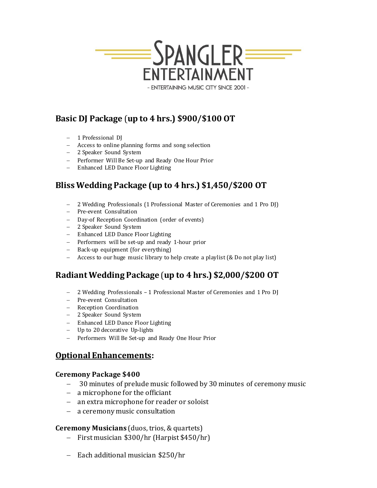

- ENTERTAINING MUSIC CITY SINCE 2001 -

# **Basic DJ Package** (**up to 4 hrs.) \$900/\$100 OT**

- − 1 Professional DJ
- − Access to online planning forms and song selection
- − 2 Speaker Sound System
- − Performer Will Be Set-up and Ready One Hour Prior
- − Enhanced LED Dance Floor Lighting

# **Bliss Wedding Package (up to 4 hrs.) \$1,450/\$200 OT**

- − 2 Wedding Professionals (1 Professional Master of Ceremonies and 1 Pro DJ)
- − Pre-event Consultation
- − Day-of Reception Coordination (order of events)
- − 2 Speaker Sound System
- − Enhanced LED Dance Floor Lighting
- − Performers will be set-up and ready 1-hour prior
- − Back-up equipment (for everything)
- − Access to our huge music library to help create a playlist (& Do not play list)

# **Radiant Wedding Package** (**up to 4 hrs.) \$2,000/\$200 OT**

- − 2 Wedding Professionals 1 Professional Master of Ceremonies and 1 Pro DJ
- − Pre-event Consultation
- − Reception Coordination
- − 2 Speaker Sound System
- − Enhanced LED Dance Floor Lighting
- − Up to 20 decorative Up-lights
- − Performers Will Be Set-up and Ready One Hour Prior

## **Optional Enhancements:**

#### **Ceremony Package \$400**

- 30 minutes of prelude music followed by 30 minutes of ceremony music
- − a microphone for the officiant
- − an extra microphone for reader or soloist
- − a ceremony music consultation

### **Ceremony Musicians** (duos, trios, & quartets)

- − First musician \$300/hr (Harpist \$450/hr)
- − Each additional musician \$250/hr